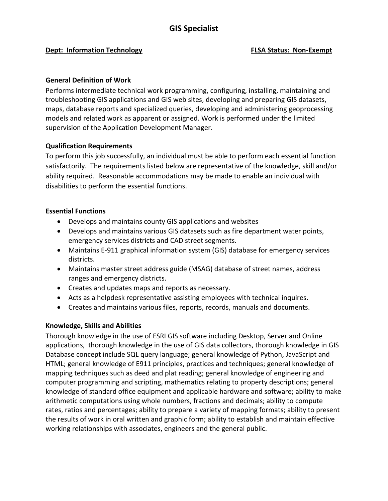# **GIS Specialist**

### **Dept: Information Technology <b>FLSA Status:** Non-Exempt

## **General Definition of Work**

Performs intermediate technical work programming, configuring, installing, maintaining and troubleshooting GIS applications and GIS web sites, developing and preparing GIS datasets, maps, database reports and specialized queries, developing and administering geoprocessing models and related work as apparent or assigned. Work is performed under the limited supervision of the Application Development Manager.

### **Qualification Requirements**

To perform this job successfully, an individual must be able to perform each essential function satisfactorily. The requirements listed below are representative of the knowledge, skill and/or ability required. Reasonable accommodations may be made to enable an individual with disabilities to perform the essential functions.

### **Essential Functions**

- Develops and maintains county GIS applications and websites
- Develops and maintains various GIS datasets such as fire department water points, emergency services districts and CAD street segments.
- Maintains E-911 graphical information system (GIS) database for emergency services districts.
- Maintains master street address guide (MSAG) database of street names, address ranges and emergency districts.
- Creates and updates maps and reports as necessary.
- Acts as a helpdesk representative assisting employees with technical inquires.
- Creates and maintains various files, reports, records, manuals and documents.

## **Knowledge, Skills and Abilities**

Thorough knowledge in the use of ESRI GIS software including Desktop, Server and Online applications, thorough knowledge in the use of GIS data collectors, thorough knowledge in GIS Database concept include SQL query language; general knowledge of Python, JavaScript and HTML; general knowledge of E911 principles, practices and techniques; general knowledge of mapping techniques such as deed and plat reading; general knowledge of engineering and computer programming and scripting, mathematics relating to property descriptions; general knowledge of standard office equipment and applicable hardware and software; ability to make arithmetic computations using whole numbers, fractions and decimals; ability to compute rates, ratios and percentages; ability to prepare a variety of mapping formats; ability to present the results of work in oral written and graphic form; ability to establish and maintain effective working relationships with associates, engineers and the general public.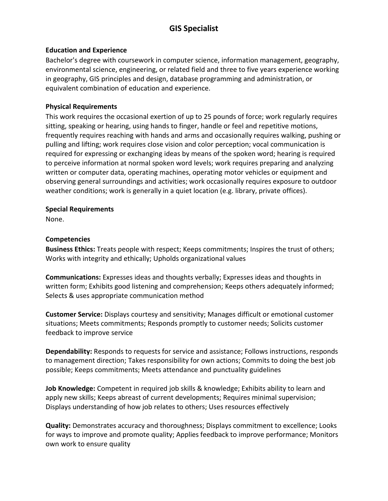# **GIS Specialist**

## **Education and Experience**

Bachelor's degree with coursework in computer science, information management, geography, environmental science, engineering, or related field and three to five years experience working in geography, GIS principles and design, database programming and administration, or equivalent combination of education and experience.

## **Physical Requirements**

This work requires the occasional exertion of up to 25 pounds of force; work regularly requires sitting, speaking or hearing, using hands to finger, handle or feel and repetitive motions, frequently requires reaching with hands and arms and occasionally requires walking, pushing or pulling and lifting; work requires close vision and color perception; vocal communication is required for expressing or exchanging ideas by means of the spoken word; hearing is required to perceive information at normal spoken word levels; work requires preparing and analyzing written or computer data, operating machines, operating motor vehicles or equipment and observing general surroundings and activities; work occasionally requires exposure to outdoor weather conditions; work is generally in a quiet location (e.g. library, private offices).

## **Special Requirements**

None.

## **Competencies**

**Business Ethics:** Treats people with respect; Keeps commitments; Inspires the trust of others; Works with integrity and ethically; Upholds organizational values

**Communications:** Expresses ideas and thoughts verbally; Expresses ideas and thoughts in written form; Exhibits good listening and comprehension; Keeps others adequately informed; Selects & uses appropriate communication method

**Customer Service:** Displays courtesy and sensitivity; Manages difficult or emotional customer situations; Meets commitments; Responds promptly to customer needs; Solicits customer feedback to improve service

**Dependability:** Responds to requests for service and assistance; Follows instructions, responds to management direction; Takes responsibility for own actions; Commits to doing the best job possible; Keeps commitments; Meets attendance and punctuality guidelines

**Job Knowledge:** Competent in required job skills & knowledge; Exhibits ability to learn and apply new skills; Keeps abreast of current developments; Requires minimal supervision; Displays understanding of how job relates to others; Uses resources effectively

**Quality:** Demonstrates accuracy and thoroughness; Displays commitment to excellence; Looks for ways to improve and promote quality; Applies feedback to improve performance; Monitors own work to ensure quality